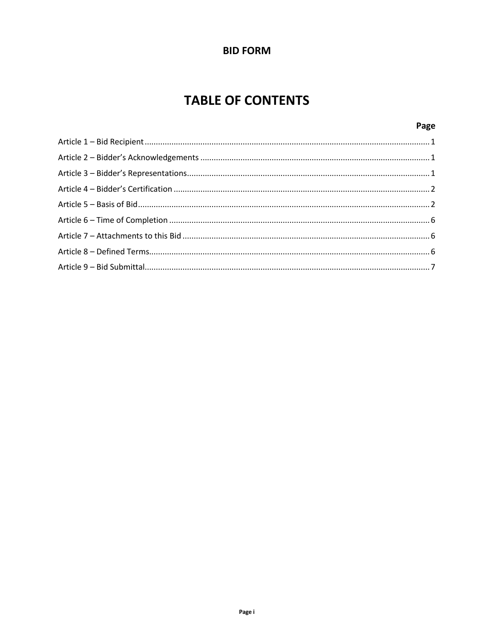# **BID FORM**

# **TABLE OF CONTENTS**

# Page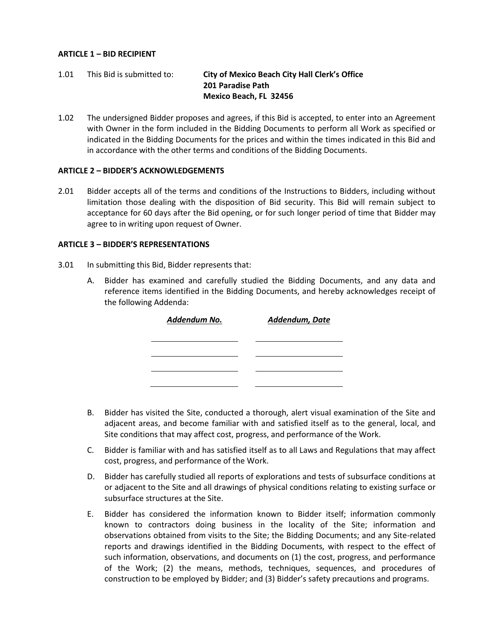#### <span id="page-1-0"></span>**ARTICLE 1 – BID RECIPIENT**

## 1.01 This Bid is submitted to: **City of Mexico Beach City Hall Clerk's Office 201 Paradise Path Mexico Beach, FL 32456**

1.02 The undersigned Bidder proposes and agrees, if this Bid is accepted, to enter into an Agreement with Owner in the form included in the Bidding Documents to perform all Work as specified or indicated in the Bidding Documents for the prices and within the times indicated in this Bid and in accordance with the other terms and conditions of the Bidding Documents.

#### <span id="page-1-1"></span>**ARTICLE 2 – BIDDER'S ACKNOWLEDGEMENTS**

2.01 Bidder accepts all of the terms and conditions of the Instructions to Bidders, including without limitation those dealing with the disposition of Bid security. This Bid will remain subject to acceptance for 60 days after the Bid opening, or for such longer period of time that Bidder may agree to in writing upon request of Owner.

#### <span id="page-1-2"></span>**ARTICLE 3 – BIDDER'S REPRESENTATIONS**

- 3.01 In submitting this Bid, Bidder represents that:
	- A. Bidder has examined and carefully studied the Bidding Documents, and any data and reference items identified in the Bidding Documents, and hereby acknowledges receipt of the following Addenda:

| Addendum No. | Addendum, Date |
|--------------|----------------|
|              |                |
|              |                |
|              |                |

- B. Bidder has visited the Site, conducted a thorough, alert visual examination of the Site and adjacent areas, and become familiar with and satisfied itself as to the general, local, and Site conditions that may affect cost, progress, and performance of the Work.
- C. Bidder is familiar with and has satisfied itself as to all Laws and Regulations that may affect cost, progress, and performance of the Work.
- D. Bidder has carefully studied all reports of explorations and tests of subsurface conditions at or adjacent to the Site and all drawings of physical conditions relating to existing surface or subsurface structures at the Site.
- E. Bidder has considered the information known to Bidder itself; information commonly known to contractors doing business in the locality of the Site; information and observations obtained from visits to the Site; the Bidding Documents; and any Site-related reports and drawings identified in the Bidding Documents, with respect to the effect of such information, observations, and documents on (1) the cost, progress, and performance of the Work; (2) the means, methods, techniques, sequences, and procedures of construction to be employed by Bidder; and (3) Bidder's safety precautions and programs.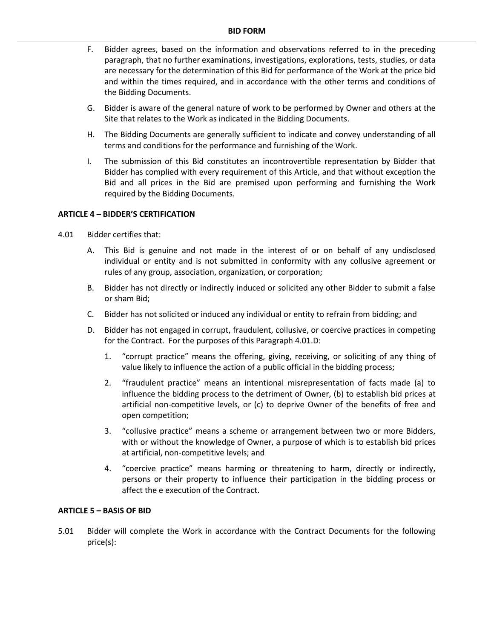- F. Bidder agrees, based on the information and observations referred to in the preceding paragraph, that no further examinations, investigations, explorations, tests, studies, or data are necessary for the determination of this Bid for performance of the Work at the price bid and within the times required, and in accordance with the other terms and conditions of the Bidding Documents.
- G. Bidder is aware of the general nature of work to be performed by Owner and others at the Site that relates to the Work as indicated in the Bidding Documents.
- H. The Bidding Documents are generally sufficient to indicate and convey understanding of all terms and conditions for the performance and furnishing of the Work.
- I. The submission of this Bid constitutes an incontrovertible representation by Bidder that Bidder has complied with every requirement of this Article, and that without exception the Bid and all prices in the Bid are premised upon performing and furnishing the Work required by the Bidding Documents.

#### <span id="page-2-0"></span>**ARTICLE 4 – BIDDER'S CERTIFICATION**

- 4.01 Bidder certifies that:
	- A. This Bid is genuine and not made in the interest of or on behalf of any undisclosed individual or entity and is not submitted in conformity with any collusive agreement or rules of any group, association, organization, or corporation;
	- B. Bidder has not directly or indirectly induced or solicited any other Bidder to submit a false or sham Bid;
	- C. Bidder has not solicited or induced any individual or entity to refrain from bidding; and
	- D. Bidder has not engaged in corrupt, fraudulent, collusive, or coercive practices in competing for the Contract. For the purposes of this Paragraph 4.01.D:
		- 1. "corrupt practice" means the offering, giving, receiving, or soliciting of any thing of value likely to influence the action of a public official in the bidding process;
		- 2. "fraudulent practice" means an intentional misrepresentation of facts made (a) to influence the bidding process to the detriment of Owner, (b) to establish bid prices at artificial non-competitive levels, or (c) to deprive Owner of the benefits of free and open competition;
		- 3. "collusive practice" means a scheme or arrangement between two or more Bidders, with or without the knowledge of Owner, a purpose of which is to establish bid prices at artificial, non-competitive levels; and
		- 4. "coercive practice" means harming or threatening to harm, directly or indirectly, persons or their property to influence their participation in the bidding process or affect the e execution of the Contract.

#### <span id="page-2-1"></span>**ARTICLE 5 – BASIS OF BID**

5.01 Bidder will complete the Work in accordance with the Contract Documents for the following price(s):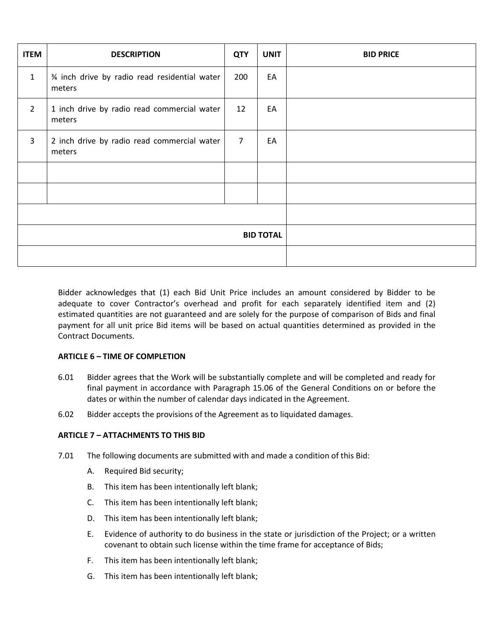| <b>ITEM</b>      | <b>DESCRIPTION</b>                                     | <b>QTY</b>     | <b>UNIT</b> | <b>BID PRICE</b> |
|------------------|--------------------------------------------------------|----------------|-------------|------------------|
| $\mathbf{1}$     | % inch drive by radio read residential water<br>meters | 200            | EA          |                  |
| $\overline{2}$   | 1 inch drive by radio read commercial water<br>meters  | 12             | EA          |                  |
| 3                | 2 inch drive by radio read commercial water<br>meters  | $\overline{7}$ | EA          |                  |
|                  |                                                        |                |             |                  |
|                  |                                                        |                |             |                  |
|                  |                                                        |                |             |                  |
| <b>BID TOTAL</b> |                                                        |                |             |                  |
|                  |                                                        |                |             |                  |

Bidder acknowledges that (1) each Bid Unit Price includes an amount considered by Bidder to be adequate to cover Contractor's overhead and profit for each separately identified item and (2) estimated quantities are not guaranteed and are solely for the purpose of comparison of Bids and final payment for all unit price Bid items will be based on actual quantities determined as provided in the Contract Documents.

#### <span id="page-3-0"></span>**ARTICLE 6 – TIME OF COMPLETION**

- 6.01 Bidder agrees that the Work will be substantially complete and will be completed and ready for final payment in accordance with Paragraph 15.06 of the General Conditions on or before the dates or within the number of calendar days indicated in the Agreement.
- 6.02 Bidder accepts the provisions of the Agreement as to liquidated damages.

## <span id="page-3-1"></span>**ARTICLE 7 – ATTACHMENTS TO THIS BID**

- 7.01 The following documents are submitted with and made a condition of this Bid:
	- A. Required Bid security;
	- B. This item has been intentionally left blank;
	- C. This item has been intentionally left blank;
	- D. This item has been intentionally left blank;
	- E. Evidence of authority to do business in the state or jurisdiction of the Project; or a written covenant to obtain such license within the time frame for acceptance of Bids;
	- F. This item has been intentionally left blank;
	- G. This item has been intentionally left blank;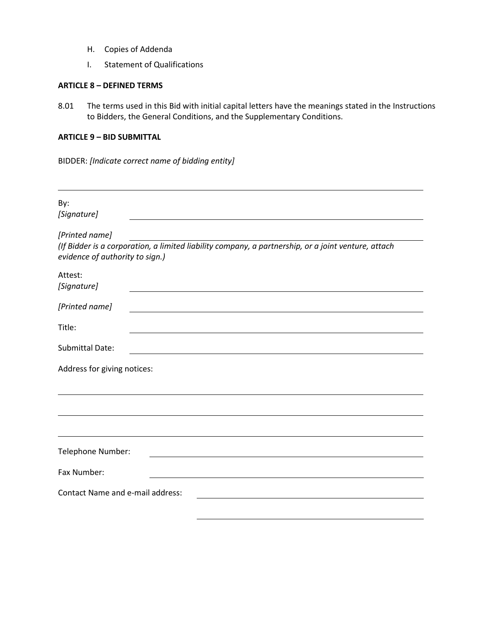- H. Copies of Addenda
- I. Statement of Qualifications

### <span id="page-4-0"></span>**ARTICLE 8 – DEFINED TERMS**

8.01 The terms used in this Bid with initial capital letters have the meanings stated in the Instructions to Bidders, the General Conditions, and the Supplementary Conditions.

#### <span id="page-4-1"></span>**ARTICLE 9 – BID SUBMITTAL**

BIDDER: *[Indicate correct name of bidding entity]*

| By:<br>[Signature]                                                                                                                     |
|----------------------------------------------------------------------------------------------------------------------------------------|
| [Printed name]                                                                                                                         |
| (If Bidder is a corporation, a limited liability company, a partnership, or a joint venture, attach<br>evidence of authority to sign.) |
| Attest:<br>[Signature]                                                                                                                 |
| [Printed name]                                                                                                                         |
| Title:                                                                                                                                 |
| <b>Submittal Date:</b>                                                                                                                 |
| Address for giving notices:                                                                                                            |
|                                                                                                                                        |
|                                                                                                                                        |
| Telephone Number:                                                                                                                      |
| Fax Number:                                                                                                                            |
| <b>Contact Name and e-mail address:</b>                                                                                                |